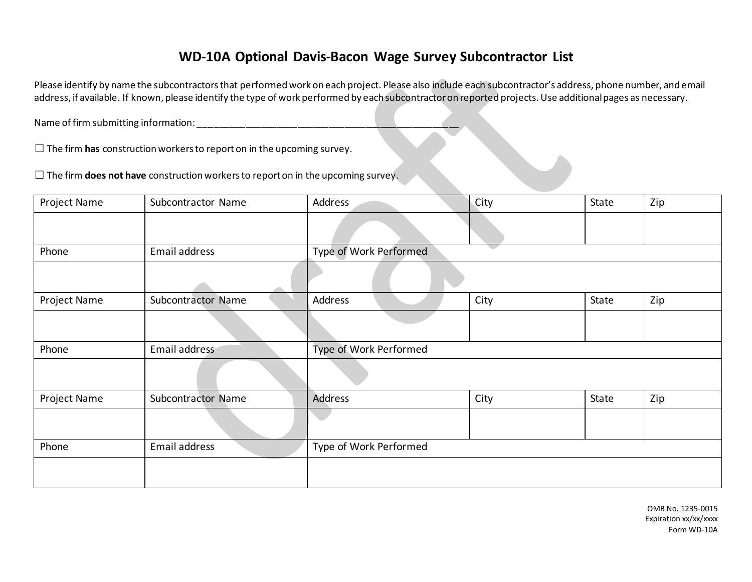## **WD-10A Optional Davis-Bacon Wage Survey Subcontractor List**

Please identify by name the subcontractors that performed work on each project. Please also include each subcontractor's address, phone number, and email address, if available. If known, please identify the type of work performed by each subcontractor on reported projects. Use additional pages as necessary.

Name of firm submitting information: \_\_\_\_\_\_\_\_\_\_\_\_\_\_\_\_\_\_\_\_\_\_\_\_\_\_\_\_\_\_\_\_\_\_\_\_\_\_\_\_\_\_\_\_\_\_\_\_\_\_

□ The firm **has** construction workers to report on in the upcoming survey.

☐ The firm **does not have** construction workers to report on in the upcoming survey.

| Project Name | Subcontractor Name | Address                | City | State | Zip |  |  |
|--------------|--------------------|------------------------|------|-------|-----|--|--|
|              |                    |                        |      |       |     |  |  |
| Phone        | Email address      | Type of Work Performed |      |       |     |  |  |
|              |                    |                        |      |       |     |  |  |
| Project Name | Subcontractor Name | Address                | City | State | Zip |  |  |
|              |                    |                        |      |       |     |  |  |
| Phone        | Email address      | Type of Work Performed |      |       |     |  |  |
|              |                    |                        |      |       |     |  |  |
| Project Name | Subcontractor Name | Address                | City | State | Zip |  |  |
|              |                    |                        |      |       |     |  |  |
| Phone        | Email address      | Type of Work Performed |      |       |     |  |  |
|              |                    |                        |      |       |     |  |  |

OMB No. 1235-0015 Expiration xx/xx/xxxx Form WD-10A